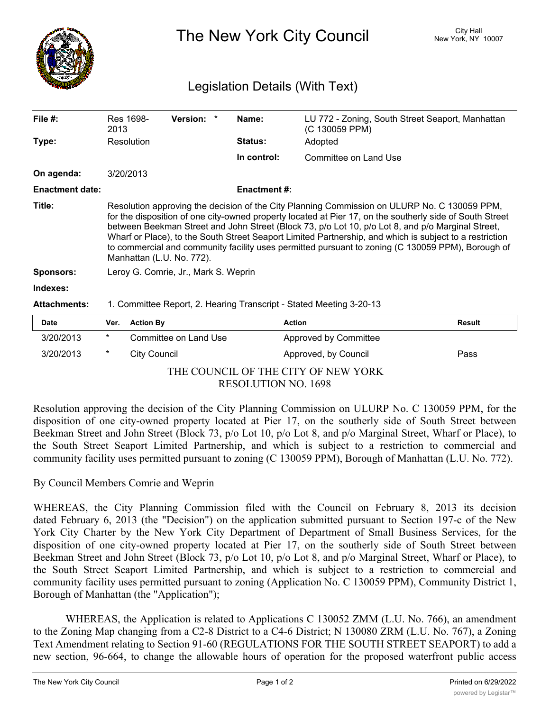

The New York City Council New York, NY 10007

## Legislation Details (With Text)

| File $#$ :             | Res 1698-<br>2013                                                                                                                                                                                                                                                                                                                                                                                                                                                                                                                                          |                  | <b>Version:</b>       | * | Name:               | (C 130059 PPM)        | LU 772 - Zoning, South Street Seaport, Manhattan |  |
|------------------------|------------------------------------------------------------------------------------------------------------------------------------------------------------------------------------------------------------------------------------------------------------------------------------------------------------------------------------------------------------------------------------------------------------------------------------------------------------------------------------------------------------------------------------------------------------|------------------|-----------------------|---|---------------------|-----------------------|--------------------------------------------------|--|
| Type:                  | Resolution                                                                                                                                                                                                                                                                                                                                                                                                                                                                                                                                                 |                  |                       |   | <b>Status:</b>      | Adopted               |                                                  |  |
|                        |                                                                                                                                                                                                                                                                                                                                                                                                                                                                                                                                                            |                  |                       |   | In control:         | Committee on Land Use |                                                  |  |
| On agenda:             | 3/20/2013                                                                                                                                                                                                                                                                                                                                                                                                                                                                                                                                                  |                  |                       |   |                     |                       |                                                  |  |
| <b>Enactment date:</b> |                                                                                                                                                                                                                                                                                                                                                                                                                                                                                                                                                            |                  |                       |   | <b>Enactment #:</b> |                       |                                                  |  |
| Title:                 | Resolution approving the decision of the City Planning Commission on ULURP No. C 130059 PPM,<br>for the disposition of one city-owned property located at Pier 17, on the southerly side of South Street<br>between Beekman Street and John Street (Block 73, p/o Lot 10, p/o Lot 8, and p/o Marginal Street,<br>Wharf or Place), to the South Street Seaport Limited Partnership, and which is subject to a restriction<br>to commercial and community facility uses permitted pursuant to zoning (C 130059 PPM), Borough of<br>Manhattan (L.U. No. 772). |                  |                       |   |                     |                       |                                                  |  |
| <b>Sponsors:</b>       | Leroy G. Comrie, Jr., Mark S. Weprin                                                                                                                                                                                                                                                                                                                                                                                                                                                                                                                       |                  |                       |   |                     |                       |                                                  |  |
| Indexes:               |                                                                                                                                                                                                                                                                                                                                                                                                                                                                                                                                                            |                  |                       |   |                     |                       |                                                  |  |
| <b>Attachments:</b>    | 1. Committee Report, 2. Hearing Transcript - Stated Meeting 3-20-13                                                                                                                                                                                                                                                                                                                                                                                                                                                                                        |                  |                       |   |                     |                       |                                                  |  |
| <b>Date</b>            | Ver.                                                                                                                                                                                                                                                                                                                                                                                                                                                                                                                                                       | <b>Action By</b> |                       |   |                     | <b>Action</b>         | <b>Result</b>                                    |  |
| 3/20/2013              | $\ast$                                                                                                                                                                                                                                                                                                                                                                                                                                                                                                                                                     |                  | Committee on Land Use |   |                     | Approved by Committee |                                                  |  |

THE COUNCIL OF THE CITY OF NEW YORK RESOLUTION NO. 1698

3/20/2013 \* City Council **Approved, by Council Pass** 

Resolution approving the decision of the City Planning Commission on ULURP No. C 130059 PPM, for the disposition of one city-owned property located at Pier 17, on the southerly side of South Street between Beekman Street and John Street (Block 73, p/o Lot 10, p/o Lot 8, and p/o Marginal Street, Wharf or Place), to the South Street Seaport Limited Partnership, and which is subject to a restriction to commercial and community facility uses permitted pursuant to zoning (C 130059 PPM), Borough of Manhattan (L.U. No. 772).

By Council Members Comrie and Weprin

WHEREAS, the City Planning Commission filed with the Council on February 8, 2013 its decision dated February 6, 2013 (the "Decision") on the application submitted pursuant to Section 197-c of the New York City Charter by the New York City Department of Department of Small Business Services, for the disposition of one city-owned property located at Pier 17, on the southerly side of South Street between Beekman Street and John Street (Block 73, p/o Lot 10, p/o Lot 8, and p/o Marginal Street, Wharf or Place), to the South Street Seaport Limited Partnership, and which is subject to a restriction to commercial and community facility uses permitted pursuant to zoning (Application No. C 130059 PPM), Community District 1, Borough of Manhattan (the "Application");

WHEREAS, the Application is related to Applications C 130052 ZMM (L.U. No. 766), an amendment to the Zoning Map changing from a C2-8 District to a C4-6 District; N 130080 ZRM (L.U. No. 767), a Zoning Text Amendment relating to Section 91-60 (REGULATIONS FOR THE SOUTH STREET SEAPORT) to add a new section, 96-664, to change the allowable hours of operation for the proposed waterfront public access